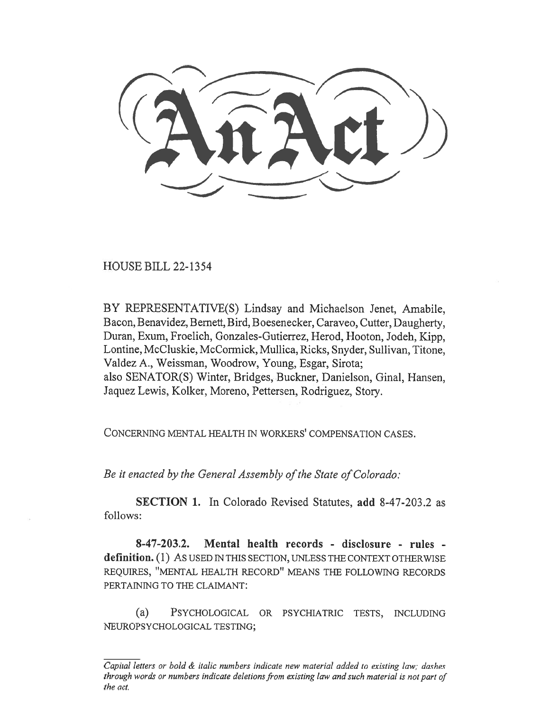HOUSE BILL 22-1354

BY REPRESENTATIVE(S) Lindsay and Michaelson Jenet, Amabile, Bacon, Benavidez, Bernett, Bird, Boesenecker, Caraveo, Cutter, Daugherty, Duran, Exum, Froelich, Gonzales-Gutierrez, Herod, Hooton, Jodeh, Kipp, Lontine, McCluskie, McCormick, Mullica, Ricks, Snyder, Sullivan, Titone, Valdez A., Weissman, Woodrow, Young, Esgar, Sirota; also SENATOR(S) Winter, Bridges, Buckner, Danielson, Ginal, Hansen, Jaquez Lewis, Kolker, Moreno, Pettersen, Rodriguez, Story.

CONCERNING MENTAL HEALTH IN WORKERS' COMPENSATION CASES.

Be it enacted by the General Assembly of the State of Colorado:

SECTION 1. In Colorado Revised Statutes, add 8-47-203.2 as follows:

8-47-203.2. Mental health records - disclosure - rules definition. (1) As used IN THIS SECTION, UNLESS THE CONTEXT OTHERWISE REQUIRES, "MENTAL HEALTH RECORD" MEANS THE FOLLOWING RECORDS PERTAINING TO THE CLAIMANT:

(a) PSYCHOLOGICAL OR PSYCHIATRIC TESTS, INCLUDING NEUROPSYCHOLOGICAL TESTING;

Capital letters or bold & italic numbers indicate new material added to existing law; dashes through words or numbers indicate deletions from existing law and such material is not part of the act.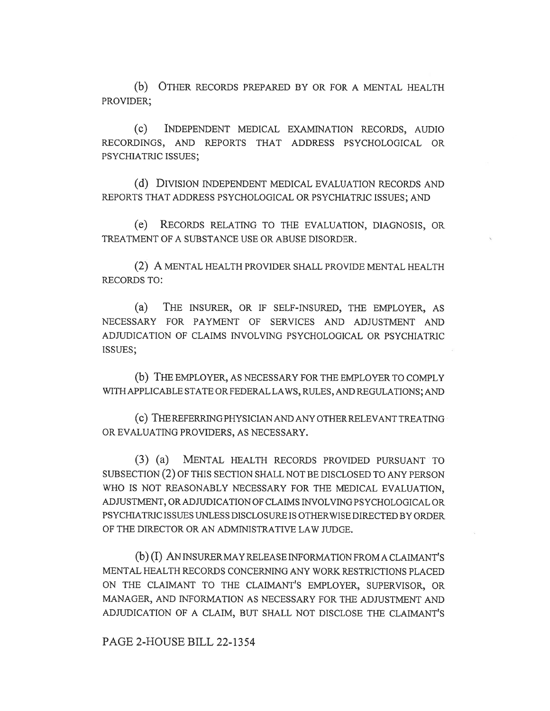(b) OTHER RECORDS PREPARED BY OR FOR A MENTAL HEALTH PROVIDER;

(C) INDEPENDENT MEDICAL EXAMINATION RECORDS, AUDIO RECORDINGS, AND REPORTS THAT ADDRESS PSYCHOLOGICAL OR PSYCHIATRIC ISSUES;

(d) DIVISION INDEPENDENT MEDICAL EVALUATION RECORDS AND REPORTS THAT ADDRESS PSYCHOLOGICAL OR PSYCHIATRIC ISSUES; AND

(e) RECORDS RELATING TO THE EVALUATION, DIAGNOSIS, OR TREATMENT OF A SUBSTANCE USE OR ABUSE DISORDER.

(2) A MENTAL HEALTH PROVIDER SHALL PROVIDE MENTAL HEALTH RECORDS TO:

(a) THE INSURER, OR IF SELF-INSURED, THE EMPLOYER, AS NECESSARY FOR PAYMENT OF SERVICES AND ADJUSTMENT AND ADJUDICATION OF CLAIMS INVOLVING PSYCHOLOGICAL OR PSYCHIATRIC ISSUES;

(b) THE EMPLOYER, AS NECESSARY FOR THE EMPLOYER TO COMPLY WITH APPLICABLE STATE OR FEDERAL LAWS, RULES, AND REGULATIONS; AND

(c) THE REFERRING PHYSICIAN AND ANY OTHER RELEVANT TREATING OR EVALUATING PROVIDERS, AS NECESSARY.

(3) (a) MENTAL HEALTH RECORDS PROVIDED PURSUANT TO SUBSECTION (2) OF THIS SECTION SHALL NOT BE DISCLOSED TO ANY PERSON WHO IS NOT REASONABLY NECESSARY FOR THE MEDICAL EVALUATION, ADJUSTMENT, OR ADJUDICATION OF CLAIMS INVOLVING PSYCHOLOGICAL OR PSYCHIATRIC ISSUES UNLESS DISCLOSURE IS OTHERWISE DIRECTED BY ORDER OF THE DIRECTOR OR AN ADMINISTRATIVE LAW JUDGE.

(b) (I) AN INSURER MAY RELEASE INFORMATION FROM A CLAIMANT'S MENTAL HEALTH RECORDS CONCERNING ANY WORK RESTRICTIONS PLACED ON THE CLAIMANT TO THE CLAIMANT'S EMPLOYER, SUPERVISOR, OR MANAGER, AND INFORMATION AS NECESSARY FOR THE ADJUSTMENT AND ADJUDICATION OF A CLAIM, BUT SHALL NOT DISCLOSE THE CLAIMANT'S

PAGE 2-HOUSE BILL 22-1354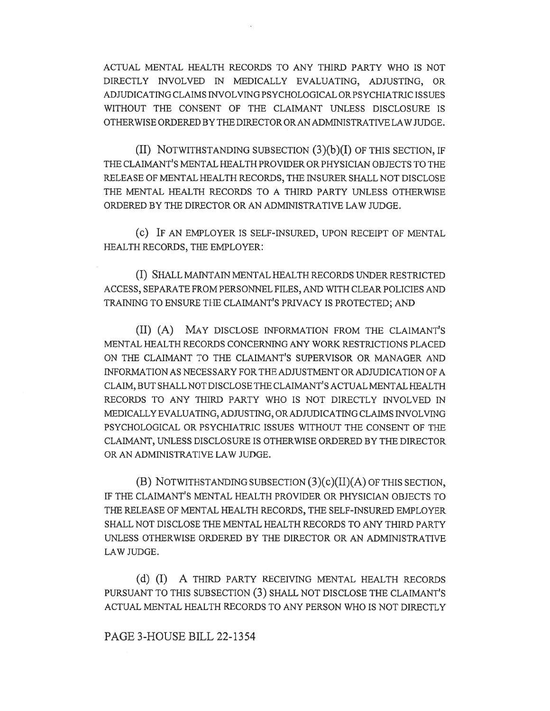ACTUAL MENTAL HEALTH RECORDS TO ANY THIRD PARTY WHO IS NOT DIRECTLY INVOLVED IN MEDICALLY EVALUATING, ADJUSTING, OR ADJUDICATING CLAIMS INVOLVING PSYCHOLOGICAL OR PSYCHIATRIC ISSUES WITHOUT THE CONSENT OF THE CLAIMANT UNLESS DISCLOSURE IS OTHERWISE ORDERED BY THE DIRECTOR ORAN ADMINISTRATIVE LAW JUDGE.

(II) NOTWITHSTANDING SUBSECTION  $(3)(b)(I)$  OF THIS SECTION, IF THE CLAIMANT'S MENTAL HEALTH PROVIDER OR PHYSICIAN OBJECTS TO THE RELEASE OF MENTAL HEALTH RECORDS, THE INSURER SHALL NOT DISCLOSE THE MENTAL HEALTH RECORDS TO A THIRD PARTY UNLESS OTHERWISE ORDERED BY THE DIRECTOR OR AN ADMINISTRATIVE LAW JUDGE.

(C) IF AN EMPLOYER IS SELF-INSURED, UPON RECEIPT OF MENTAL HEALTH RECORDS, THE EMPLOYER:

(I) SHALL MAINTAIN MENTAL HEALTH RECORDS UNDER RESTRICTED ACCESS, SEPARATE FROM PERSONNEL FILES, AND WITH CLEAR POLICIES AND TRAINING TO ENSURE THE CLAIMANT'S PRIVACY IS PROTECTED; AND

(II) (A) MAY DISCLOSE INFORMATION FROM THE CLAIMANT'S MENTAL HEALTH RECORDS CONCERNING ANY WORK RESTRICTIONS PLACED ON THE CLAIMANT TO THE CLAIMANT'S SUPERVISOR OR MANAGER AND INFORMATION AS NECESSARY FOR THE ADJUSTMENT OR ADJUDICATION OF A CLAIM, BUT SHALL NOT DISCLOSE THE CLAIMANT'S ACTUAL MENTAL HEALTH RECORDS TO ANY THIRD PARTY WHO IS NOT DIRECTLY INVOLVED IN MEDICALLY EVALUATING, ADJUSTING, OR ADJUDICATING CLAIMS INVOLVING PSYCHOLOGICAL OR PSYCHIATRIC ISSUES WITHOUT THE CONSENT OF THE CLAIMANT, UNLESS DISCLOSURE IS OTHERWISE ORDERED BY THE DIRECTOR OR AN ADMINISTRATIVE LAW JUDGE.

(B) NOTWITHSTANDING SUBSECTION (3)(c)(II)(A) OF THIS SECTION, IF THE CLAIMANT'S MENTAL HEALTH PROVIDER OR PHYSICIAN OBJECTS TO THE RELEASE OF MENTAL HEALTH RECORDS, THE SELF-INSURED EMPLOYER SHALL NOT DISCLOSE THE MENTAL HEALTH RECORDS TO ANY THIRD PARTY UNLESS OTHERWISE ORDERED BY THE DIRECTOR OR AN ADMINISTRATIVE LAW JUDGE.

(d) (I) A THIRD PARTY RECEIVING MENTAL HEALTH RECORDS PURSUANT TO THIS SUBSECTION (3) SHALL NOT DISCLOSE THE CLAIMANT'S ACTUAL MENTAL HEALTH RECORDS TO ANY PERSON WHO IS NOT DIRECTLY

## PAGE 3-HOUSE BILL 22-1354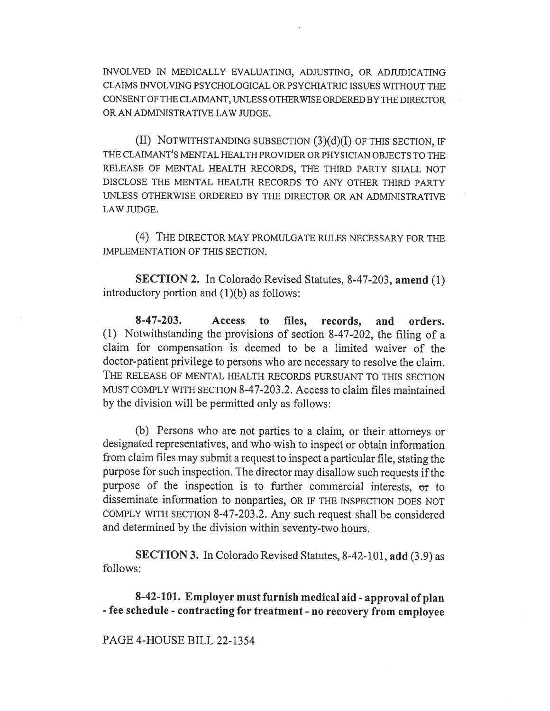INVOLVED IN MEDICALLY EVALUATING, ADJUSTING, OR ADJUDICATING CLAIMS INVOLVING PSYCHOLOGICAL OR PSYCHIATRIC ISSUES WITHOUT THE CONSENT OF THE CLAIMANT, UNLESS OTHERWISE ORDERED BY THE DIRECTOR OR AN ADMINISTRATIVE LAW JUDGE.

(II) NOTWITHSTANDING SUBSECTION (3)(d)(I) OF THIS SECTION, IF THE CLAIMANT'S MENTAL HEALTH PROVIDER OR PHYSICIAN OBJECTS TO THE RELEASE OF MENTAL HEALTH RECORDS, THE THIRD PARTY SHALL NOT DISCLOSE THE MENTAL HEALTH RECORDS TO ANY OTHER THIRD PARTY UNLESS OTHERWISE ORDERED BY THE DIRECTOR OR AN ADMINISTRATIVE LAW JUDGE.

(4) THE DIRECTOR MAY PROMULGATE RULES NECESSARY FOR THE IMPLEMENTATION OF THIS SECTION.

SECTION 2. In Colorado Revised Statutes, 8-47-203, amend (1) introductory portion and (1)(b) as follows:

8-47-203. Access to files, records, and orders. (1) Notwithstanding the provisions of section 8-47-202, the filing of a claim for compensation is deemed to be a limited waiver of the doctor-patient privilege to persons who are necessary to resolve the claim. THE RELEASE OF MENTAL HEALTH RECORDS PURSUANT TO THIS SECTION MUST COMPLY WITH SECTION 8-47-203.2. Access to claim files maintained by the division will be permitted only as follows:

(b) Persons who are not parties to a claim, or their attorneys or designated representatives, and who wish to inspect or obtain information from claim files may submit a request to inspect a particular file, stating the purpose for such inspection. The director may disallow such requests if the purpose of the inspection is to further commercial interests, or to disseminate information to nonparties, OR IF THE INSPECTION DOES NOT COMPLY WITH SECTION 8-47-203.2. Any such request shall be considered and determined by the division within seventy-two hours.

SECTION 3. In Colorado Revised Statutes, 8-42-101, add (3.9) as follows:

8-42-101. Employer must furnish medical aid - approval of plan - fee schedule - contracting for treatment - no recovery from employee

## PAGE 4-HOUSE BILL 22-1354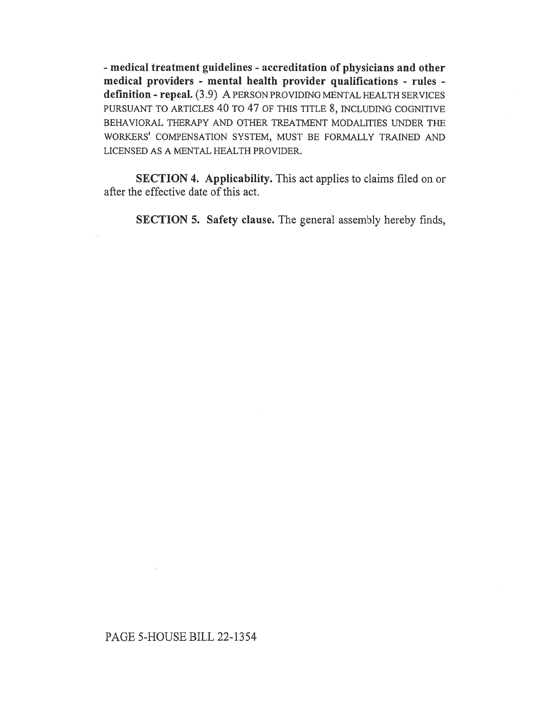- medical treatment guidelines - accreditation of physicians and other medical providers - mental health provider qualifications - rules definition - repeal. (3.9) A PERSON PROVIDING MENTAL HEALTH SERVICES PURSUANT TO ARTICLES 40 TO 47 OF THIS TITLE 8, INCLUDING COGNITIVE BEHAVIORAL THERAPY AND OTHER TREATMENT MODALITIES UNDER THE WORKERS' COMPENSATION SYSTEM, MUST BE FORMALLY TRAINED AND LICENSED AS A MENTAL HEALTH PROVIDER.

SECTION 4. Applicability. This act applies to claims filed on or after the effective date of this act.

SECTION 5. Safety clause. The general assembly hereby finds,